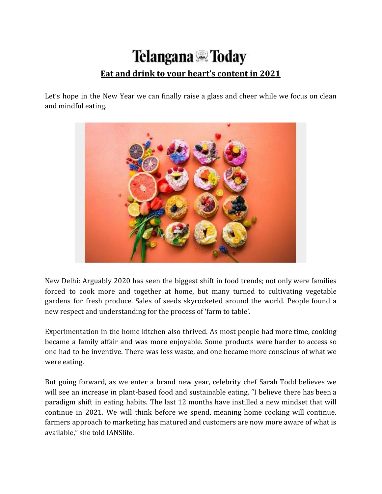## **Telangana** *N*oday **Eat and drink to your heart's content in 2021**

Let's hope in the New Year we can finally raise a glass and cheer while we focus on clean and mindful eating.



New Delhi: Arguably 2020 has seen the biggest shift in food trends; not only were families forced to cook more and together at home, but many turned to cultivating vegetable gardens for fresh produce. Sales of seeds skyrocketed around the world. People found a new respect and understanding for the process of 'farm to table'.

Experimentation in the home kitchen also thrived. As most people had more time, cooking became a family affair and was more enjoyable. Some products were harder to access so one had to be inventive. There was less waste, and one became more conscious of what we were eating.

But going forward, as we enter a brand new year, celebrity chef Sarah Todd believes we will see an increase in plant-based food and sustainable eating. "I believe there has been a paradigm shift in eating habits. The last 12 months have instilled a new mindset that will continue in 2021. We will think before we spend, meaning home cooking will continue. farmers approach to marketing has matured and customers are now more aware of what is available," she told IANSlife.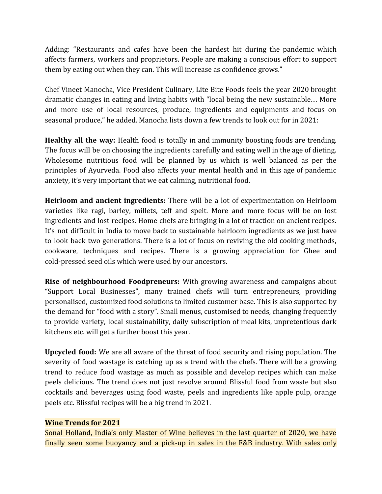Adding: "Restaurants and cafes have been the hardest hit during the pandemic which affects farmers, workers and proprietors. People are making a conscious effort to support them by eating out when they can. This will increase as confidence grows."

Chef Vineet Manocha, Vice President Culinary, Lite Bite Foods feels the year 2020 brought dramatic changes in eating and living habits with "local being the new sustainable… More and more use of local resources, produce, ingredients and equipments and focus on seasonal produce," he added. Manocha lists down a few trends to look out for in 2021:

**Healthy all the way:** Health food is totally in and immunity boosting foods are trending. The focus will be on choosing the ingredients carefully and eating well in the age of dieting. Wholesome nutritious food will be planned by us which is well balanced as per the principles of Ayurveda. Food also affects your mental health and in this age of pandemic anxiety, it's very important that we eat calming, nutritional food.

**Heirloom and ancient ingredients:** There will be a lot of experimentation on Heirloom varieties like ragi, barley, millets, teff and spelt. More and more focus will be on lost ingredients and lost recipes. Home chefs are bringing in a lot of traction on ancient recipes. It's not difficult in India to move back to sustainable heirloom ingredients as we just have to look back two generations. There is a lot of focus on reviving the old cooking methods, cookware, techniques and recipes. There is a growing appreciation for Ghee and cold-pressed seed oils which were used by our ancestors.

**Rise of neighbourhood Foodpreneurs:** With growing awareness and campaigns about "Support Local Businesses", many trained chefs will turn entrepreneurs, providing personalised, customized food solutions to limited customer base. This is also supported by the demand for "food with a story". Small menus, customised to needs, changing frequently to provide variety, local sustainability, daily subscription of meal kits, unpretentious dark kitchens etc. will get a further boost this year.

**Upcycled food:** We are all aware of the threat of food security and rising population. The severity of food wastage is catching up as a trend with the chefs. There will be a growing trend to reduce food wastage as much as possible and develop recipes which can make peels delicious. The trend does not just revolve around Blissful food from waste but also cocktails and beverages using food waste, peels and ingredients like apple pulp, orange peels etc. Blissful recipes will be a big trend in 2021.

## **Wine Trends for 2021**

Sonal Holland, India's only Master of Wine believes in the last quarter of 2020, we have finally seen some buoyancy and a pick-up in sales in the F&B industry. With sales only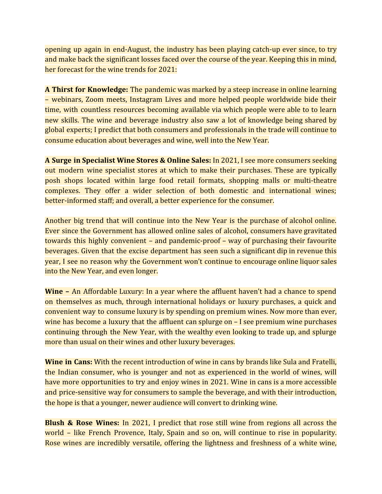opening up again in end-August, the industry has been playing catch-up ever since, to try and make back the significant losses faced over the course of the year. Keeping this in mind, her forecast for the wine trends for 2021:

**A Thirst for Knowledge:** The pandemic was marked by a steep increase in online learning – webinars, Zoom meets, Instagram Lives and more helped people worldwide bide their time, with countless resources becoming available via which people were able to to learn new skills. The wine and beverage industry also saw a lot of knowledge being shared by global experts; I predict that both consumers and professionals in the trade will continue to consume education about beverages and wine, well into the New Year.

**A Surge in Specialist Wine Stores & Online Sales:** In 2021, I see more consumers seeking out modern wine specialist stores at which to make their purchases. These are typically posh shops located within large food retail formats, shopping malls or multi-theatre complexes. They offer a wider selection of both domestic and international wines; better-informed staff; and overall, a better experience for the consumer.

Another big trend that will continue into the New Year is the purchase of alcohol online. Ever since the Government has allowed online sales of alcohol, consumers have gravitated towards this highly convenient – and pandemic-proof – way of purchasing their favourite beverages. Given that the excise department has seen such a significant dip in revenue this year, I see no reason why the Government won't continue to encourage online liquor sales into the New Year, and even longer.

**Wine –** An Affordable Luxury: In a year where the affluent haven't had a chance to spend on themselves as much, through international holidays or luxury purchases, a quick and convenient way to consume luxury is by spending on premium wines. Now more than ever, wine has become a luxury that the affluent can splurge on – I see premium wine purchases continuing through the New Year, with the wealthy even looking to trade up, and splurge more than usual on their wines and other luxury beverages.

**Wine in Cans:** With the recent introduction of wine in cans by brands like Sula and Fratelli, the Indian consumer, who is younger and not as experienced in the world of wines, will have more opportunities to try and enjoy wines in 2021. Wine in cans is a more accessible and price-sensitive way for consumers to sample the beverage, and with their introduction, the hope is that a younger, newer audience will convert to drinking wine.

**Blush & Rose Wines:** In 2021, I predict that rose still wine from regions all across the world – like French Provence, Italy, Spain and so on, will continue to rise in popularity. Rose wines are incredibly versatile, offering the lightness and freshness of a white wine,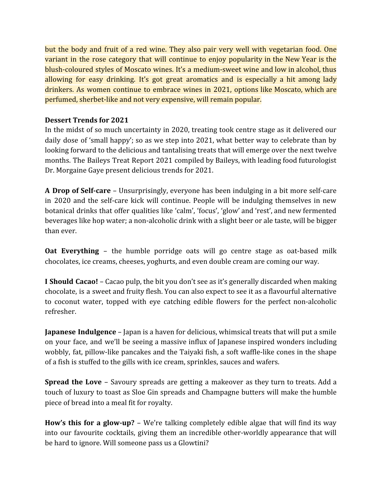but the body and fruit of a red wine. They also pair very well with vegetarian food. One variant in the rose category that will continue to enjoy popularity in the New Year is the blush-coloured styles of Moscato wines. It's a medium-sweet wine and low in alcohol, thus allowing for easy drinking. It's got great aromatics and is especially a hit among lady drinkers. As women continue to embrace wines in 2021, options like Moscato, which are perfumed, sherbet-like and not very expensive, will remain popular.

## **Dessert Trends for 2021**

In the midst of so much uncertainty in 2020, treating took centre stage as it delivered our daily dose of 'small happy'; so as we step into 2021, what better way to celebrate than by looking forward to the delicious and tantalising treats that will emerge over the next twelve months. The Baileys Treat Report 2021 compiled by Baileys, with leading food futurologist Dr. Morgaine Gaye present delicious trends for 2021.

**A Drop of Self-care** – Unsurprisingly, everyone has been indulging in a bit more self-care in 2020 and the self-care kick will continue. People will be indulging themselves in new botanical drinks that offer qualities like 'calm', 'focus', 'glow' and 'rest', and new fermented beverages like hop water; a non-alcoholic drink with a slight beer or ale taste, will be bigger than ever.

**Oat Everything** – the humble porridge oats will go centre stage as oat-based milk chocolates, ice creams, cheeses, yoghurts, and even double cream are coming our way.

**I Should Cacao!** – Cacao pulp, the bit you don't see as it's generally discarded when making chocolate, is a sweet and fruity flesh. You can also expect to see it as a flavourful alternative to coconut water, topped with eye catching edible flowers for the perfect non-alcoholic refresher.

**Japanese Indulgence** – Japan is a haven for delicious, whimsical treats that will put a smile on your face, and we'll be seeing a massive influx of Japanese inspired wonders including wobbly, fat, pillow-like pancakes and the Taiyaki fish, a soft waffle-like cones in the shape of a fish is stuffed to the gills with ice cream, sprinkles, sauces and wafers.

**Spread the Love** – Savoury spreads are getting a makeover as they turn to treats. Add a touch of luxury to toast as Sloe Gin spreads and Champagne butters will make the humble piece of bread into a meal fit for royalty.

**How's this for a glow-up?** – We're talking completely edible algae that will find its way into our favourite cocktails, giving them an incredible other-worldly appearance that will be hard to ignore. Will someone pass us a Glowtini?